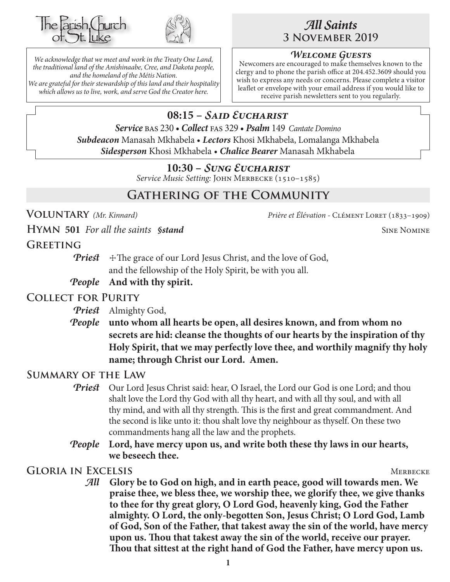



*We acknowledge that we meet and work in the Treaty One Land, the traditional land of the Anishinaabe, Cree, and Dakota people, and the homeland of the Métis Nation. We are grateful for their stewardship of this land and their hospitality which allows us to live, work, and serve God the Creator here.*

# *All Saints* **3 November 2019**

#### *Welcome Guests*

Newcomers are encouraged to make themselves known to the clergy and to phone the parish office at 204.452.3609 should you wish to express any needs or concerns. Please complete a visitor leaflet or envelope with your email address if you would like to receive parish newsletters sent to you regularly.

# **08:15 –** *Said Eucharist*

*Service* bas 230 • *Collect* fas 329 • *Psalm* 149 *Cantate Domino Subdeacon* Manasah Mkhabela • *Lectors* Khosi Mkhabela, Lomalanga Mkhabela *Sidesperson* Khosi Mkhabela • *Chalice Bearer* Manasah Mkhabela

#### **10:30 –** *Sung Eucharist*

*Service Music Setting:* John Merbecke (1510–1585)

# **Gathering of the Community**

**Voluntary** *(Mr. Kinnard) Prière et Élévation -* Clément Loret (1833–1909)

**HYMN** 501 *For all the saints §stand* SINE NOMINE

#### **Greeting**

*Priest*  $\pm$  The grace of our Lord Jesus Christ, and the love of God, and the fellowship of the Holy Spirit, be with you all.

#### *People* **And with thy spirit.**

#### **Collect for Purity**

*Priest* Almighty God,

*People* **unto whom all hearts be open, all desires known, and from whom no secrets are hid: cleanse the thoughts of our hearts by the inspiration of thy Holy Spirit, that we may perfectly love thee, and worthily magnify thy holy name; through Christ our Lord. Amen.**

#### **Summary of the Law**

- **Priest** Our Lord Jesus Christ said: hear, O Israel, the Lord our God is one Lord; and thou shalt love the Lord thy God with all thy heart, and with all thy soul, and with all thy mind, and with all thy strength. This is the first and great commandment. And the second is like unto it: thou shalt love thy neighbour as thyself. On these two commandments hang all the law and the prophets.
- *People* **Lord, have mercy upon us, and write both these thy laws in our hearts, we beseech thee.**

GLORIA IN EXCELSIS MERBECKE

*All* **Glory be to God on high, and in earth peace, good will towards men. We praise thee, we bless thee, we worship thee, we glorify thee, we give thanks to thee for thy great glory, O Lord God, heavenly king, God the Father almighty. O Lord, the only-begotten Son, Jesus Christ; O Lord God, Lamb of God, Son of the Father, that takest away the sin of the world, have mercy upon us. Thou that takest away the sin of the world, receive our prayer. Thou that sittest at the right hand of God the Father, have mercy upon us.**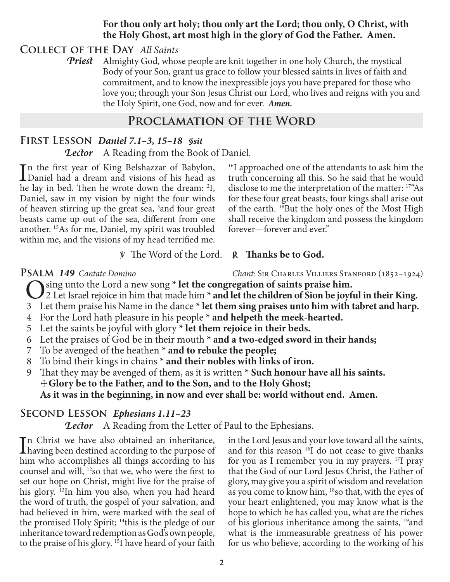#### **For thou only art holy; thou only art the Lord; thou only, O Christ, with the Holy Ghost, art most high in the glory of God the Father. Amen.**

#### **Collect of the Day** *All Saints*

*Priest* Almighty God, whose people are knit together in one holy Church, the mystical Body of your Son, grant us grace to follow your blessed saints in lives of faith and commitment, and to know the inexpressible joys you have prepared for those who love you; through your Son Jesus Christ our Lord, who lives and reigns with you and the Holy Spirit, one God, now and for ever.*Amen.*

#### **Proclamation of the Word**

# **First Lesson** *Daniel 7.1–3, 15–18 §sit*

*Lector* A Reading from the Book of Daniel.

In the first year of King Belshazzar of Babylon,<br>Daniel had a dream and visions of his head as Daniel had a dream and visions of his head as he lay in bed. Then he wrote down the dream: <sup>2</sup>I, Daniel, saw in my vision by night the four winds of heaven stirring up the great sea, <sup>3</sup> and four great beasts came up out of the sea, different from one another. 15As for me, Daniel, my spirit was troubled within me, and the visions of my head terrified me.

<sup>16</sup>I approached one of the attendants to ask him the truth concerning all this. So he said that he would disclose to me the interpretation of the matter: 17"As for these four great beasts, four kings shall arise out of the earth. <sup>18</sup>But the holy ones of the Most High shall receive the kingdom and possess the kingdom forever—forever and ever."

#### ℣ The Word of the Lord. ℟ **Thanks be to God.**

**PSALM 149** Cantate Domino Chant: SIR CHARLES VILLIERS STANFORD (1852–1924) O sing unto the Lord a new song **\* let the congregation of saints praise him.**

- 2 Let Israel rejoice in him that made him **\* and let the children of Sion be joyful in their King.**
- 3 Let them praise his Name in the dance **\* let them sing praises unto him with tabret and harp.**
- 4 For the Lord hath pleasure in his people **\* and helpeth the meek-hearted.**
- 5 Let the saints be joyful with glory **\* let them rejoice in their beds.**
- 6 Let the praises of God be in their mouth **\* and a two-edged sword in their hands;**
- 7 To be avenged of the heathen **\* and to rebuke the people;**
- 8 To bind their kings in chains **\* and their nobles with links of iron.**
- 9 That they may be avenged of them, as it is written **\* Such honour have all his saints.** ☩**Glory be to the Father, and to the Son, and to the Holy Ghost; As it was in the beginning, in now and ever shall be: world without end. Amen.**

## **Second Lesson** *Ephesians 1.11–23*

*Lector* A Reading from the Letter of Paul to the Ephesians.

In Christ we have also obtained an inheritance,<br>having been destined according to the purpose of n Christ we have also obtained an inheritance, him who accomplishes all things according to his counsel and will, 12so that we, who were the first to set our hope on Christ, might live for the praise of his glory. <sup>13</sup>In him you also, when you had heard the word of truth, the gospel of your salvation, and had believed in him, were marked with the seal of the promised Holy Spirit; 14this is the pledge of our inheritance toward redemption as God's own people, to the praise of his glory.<sup>15</sup>I have heard of your faith

in the Lord Jesus and your love toward all the saints, and for this reason <sup>16</sup>I do not cease to give thanks for you as I remember you in my prayers. 17I pray that the God of our Lord Jesus Christ, the Father of glory, may give you a spirit of wisdom and revelation as you come to know him, 18so that, with the eyes of your heart enlightened, you may know what is the hope to which he has called you, what are the riches of his glorious inheritance among the saints, <sup>19</sup>and what is the immeasurable greatness of his power for us who believe, according to the working of his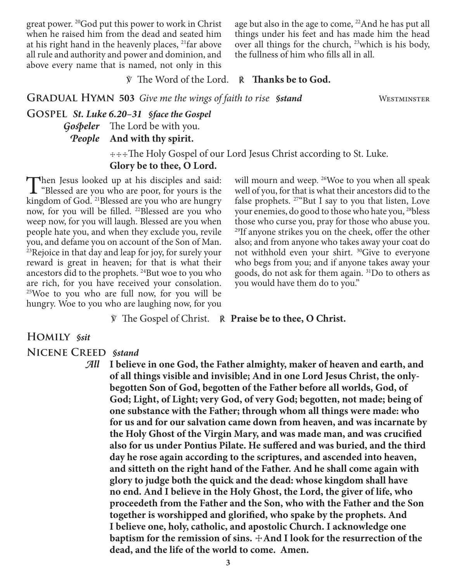great power. 20God put this power to work in Christ when he raised him from the dead and seated him at his right hand in the heavenly places, 21far above all rule and authority and power and dominion, and above every name that is named, not only in this

age but also in the age to come, <sup>22</sup>And he has put all things under his feet and has made him the head over all things for the church, 23which is his body, the fullness of him who fills all in all.

℣ The Word of the Lord. ℟ **Thanks be to God.**

**GRADUAL HYMN 503** *Give me the wings of faith to rise §stand* WESTMINSTER

**Gospel** *St. Luke 6.20–31 §face the Gospel Gospeler* The Lord be with you. *People* **And with thy spirit.**

> ☩☩☩The Holy Gospel of our Lord Jesus Christ according to St. Luke. **Glory be to thee, O Lord.**

Then Jesus looked up at his disciples and said:<br>
"Blessed are you who are poor, for yours is the<br>
kingdom of God <sup>21</sup>Rlessed are you who are hungary kingdom of God. 21Blessed are you who are hungry now, for you will be filled. <sup>22</sup>Blessed are you who weep now, for you will laugh. Blessed are you when people hate you, and when they exclude you, revile you, and defame you on account of the Son of Man.  $23$ Rejoice in that day and leap for joy, for surely your reward is great in heaven; for that is what their ancestors did to the prophets. 24But woe to you who are rich, for you have received your consolation. 25Woe to you who are full now, for you will be hungry. Woe to you who are laughing now, for you

will mourn and weep. <sup>26</sup>Woe to you when all speak well of you, for that is what their ancestors did to the false prophets.  $27^{\circ}$ But I say to you that listen, Love your enemies, do good to those who hate you, <sup>28</sup>bless those who curse you, pray for those who abuse you. 29If anyone strikes you on the cheek, offer the other also; and from anyone who takes away your coat do not withhold even your shirt. 30Give to everyone who begs from you; and if anyone takes away your goods, do not ask for them again. 31Do to others as you would have them do to you."

℣ The Gospel of Christ. ℟ **Praise be to thee, O Christ.**

#### **Homily** *§sit*

**Nicene Creed** *§stand*

*All* **I believe in one God, the Father almighty, maker of heaven and earth, and of all things visible and invisible; And in one Lord Jesus Christ, the onlybegotten Son of God, begotten of the Father before all worlds, God, of God; Light, of Light; very God, of very God; begotten, not made; being of one substance with the Father; through whom all things were made: who for us and for our salvation came down from heaven, and was incarnate by the Holy Ghost of the Virgin Mary, and was made man, and was crucified also for us under Pontius Pilate. He suffered and was buried, and the third day he rose again according to the scriptures, and ascended into heaven, and sitteth on the right hand of the Father. And he shall come again with glory to judge both the quick and the dead: whose kingdom shall have no end. And I believe in the Holy Ghost, the Lord, the giver of life, who proceedeth from the Father and the Son, who with the Father and the Son together is worshipped and glorified, who spake by the prophets. And I believe one, holy, catholic, and apostolic Church. I acknowledge one baptism for the remission of sins.**  $\pm$ And I look for the resurrection of the **dead, and the life of the world to come. Amen.**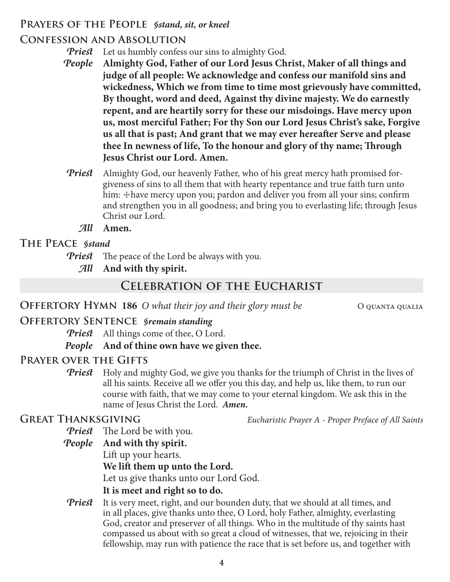## **Prayers of the People** *§stand, sit, or kneel*

# **Confession and Absolution**

*Priest* Let us humbly confess our sins to almighty God.

- *People* **Almighty God, Father of our Lord Jesus Christ, Maker of all things and judge of all people: We acknowledge and confess our manifold sins and wickedness, Which we from time to time most grievously have committed, By thought, word and deed, Against thy divine majesty. We do earnestly repent, and are heartily sorry for these our misdoings. Have mercy upon us, most merciful Father; For thy Son our Lord Jesus Christ's sake, Forgive us all that is past; And grant that we may ever hereafter Serve and please thee In newness of life, To the honour and glory of thy name; Through Jesus Christ our Lord. Amen.**
- *Priest* Almighty God, our heavenly Father, who of his great mercy hath promised forgiveness of sins to all them that with hearty repentance and true faith turn unto him: + have mercy upon you; pardon and deliver you from all your sins; confirm and strengthen you in all goodness; and bring you to everlasting life; through Jesus Christ our Lord.
	- *All* **Amen.**

## **The Peace** *§stand*

- *Priest* The peace of the Lord be always with you.
	- *All* **And with thy spirit.**

# **Celebration of the Eucharist**

**OFFERTORY HYMN 186** O what their joy and their glory must be O QUANTA QUALIA

## **Offertory Sentence** *§remain standing*

*Priest* All things come of thee, O Lord.

## *People* **And of thine own have we given thee.**

## **Prayer over the Gifts**

**Priest** Holy and mighty God, we give you thanks for the triumph of Christ in the lives of all his saints. Receive all we offer you this day, and help us, like them, to run our course with faith, that we may come to your eternal kingdom. We ask this in the name of Jesus Christ the Lord. *Amen.*

**Great Thanksgiving** *Eucharistic Prayer A - Proper Preface of All Saints*

*Priest* The Lord be with you.

*People* **And with thy spirit.**

Lift up your hearts.

## **We lift them up unto the Lord.**

Let us give thanks unto our Lord God.

## **It is meet and right so to do.**

*Priest* It is very meet, right, and our bounden duty, that we should at all times, and in all places, give thanks unto thee, O Lord, holy Father, almighty, everlasting God, creator and preserver of all things. Who in the multitude of thy saints hast compassed us about with so great a cloud of witnesses, that we, rejoicing in their fellowship, may run with patience the race that is set before us, and together with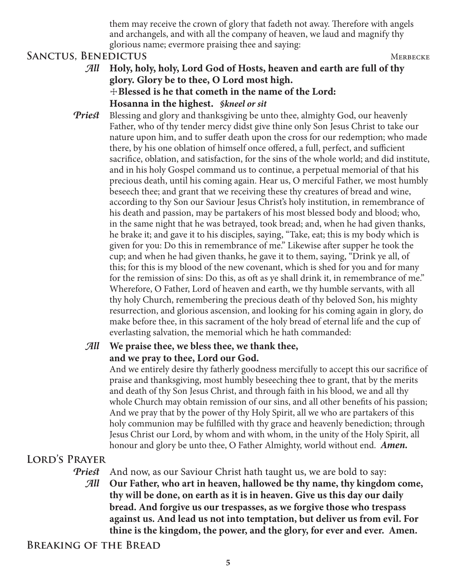them may receive the crown of glory that fadeth not away. Therefore with angels and archangels, and with all the company of heaven, we laud and magnify thy glorious name; evermore praising thee and saying:

#### SANCTUS, BENEDICTUS MERBECKE

- *All* **Holy, holy, holy, Lord God of Hosts, heaven and earth are full of thy glory. Glory be to thee, O Lord most high.** ☩**Blessed is he that cometh in the name of the Lord: Hosanna in the highest.** *§kneel or sit*
- **Priest** Blessing and glory and thanksgiving be unto thee, almighty God, our heavenly Father, who of thy tender mercy didst give thine only Son Jesus Christ to take our nature upon him, and to suffer death upon the cross for our redemption; who made there, by his one oblation of himself once offered, a full, perfect, and sufficient sacrifice, oblation, and satisfaction, for the sins of the whole world; and did institute, and in his holy Gospel command us to continue, a perpetual memorial of that his precious death, until his coming again. Hear us, O merciful Father, we most humbly beseech thee; and grant that we receiving these thy creatures of bread and wine, according to thy Son our Saviour Jesus Christ's holy institution, in remembrance of his death and passion, may be partakers of his most blessed body and blood; who, in the same night that he was betrayed, took bread; and, when he had given thanks, he brake it; and gave it to his disciples, saying, "Take, eat; this is my body which is given for you: Do this in remembrance of me." Likewise after supper he took the cup; and when he had given thanks, he gave it to them, saying, "Drink ye all, of this; for this is my blood of the new covenant, which is shed for you and for many for the remission of sins: Do this, as oft as ye shall drink it, in remembrance of me." Wherefore, O Father, Lord of heaven and earth, we thy humble servants, with all thy holy Church, remembering the precious death of thy beloved Son, his mighty resurrection, and glorious ascension, and looking for his coming again in glory, do make before thee, in this sacrament of the holy bread of eternal life and the cup of everlasting salvation, the memorial which he hath commanded:

## *All* **We praise thee, we bless thee, we thank thee, and we pray to thee, Lord our God.**

 And we entirely desire thy fatherly goodness mercifully to accept this our sacrifice of praise and thanksgiving, most humbly beseeching thee to grant, that by the merits and death of thy Son Jesus Christ, and through faith in his blood, we and all thy whole Church may obtain remission of our sins, and all other benefits of his passion; And we pray that by the power of thy Holy Spirit, all we who are partakers of this holy communion may be fulfilled with thy grace and heavenly benediction; through Jesus Christ our Lord, by whom and with whom, in the unity of the Holy Spirit, all honour and glory be unto thee, O Father Almighty, world without end. *Amen.*

## **Lord's Prayer**

*Priest* And now, as our Saviour Christ hath taught us, we are bold to say:

*All* **Our Father, who art in heaven, hallowed be thy name, thy kingdom come, thy will be done, on earth as it is in heaven. Give us this day our daily bread. And forgive us our trespasses, as we forgive those who trespass against us. And lead us not into temptation, but deliver us from evil. For thine is the kingdom, the power, and the glory, for ever and ever. Amen.**

**Breaking of the Bread**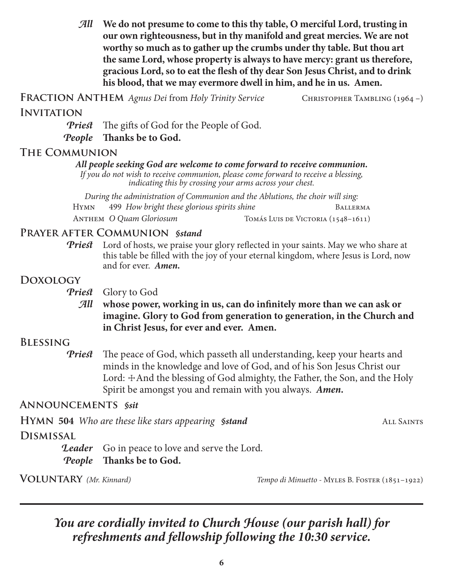*All* **We do not presume to come to this thy table, O merciful Lord, trusting in our own righteousness, but in thy manifold and great mercies. We are not worthy so much as to gather up the crumbs under thy table. But thou art the same Lord, whose property is always to have mercy: grant us therefore, gracious Lord, so to eat the flesh of thy dear Son Jesus Christ, and to drink his blood, that we may evermore dwell in him, and he in us. Amen.**

FRACTION ANTHEM *Agnus Dei* from *Holy Trinity Service* CHRISTOPHER TAMBLING (1964 –)

#### **Invitation**

*Priest* The gifts of God for the People of God.

*People* **Thanks be to God.**

#### **The Communion**

#### *All people seeking God are welcome to come forward to receive communion.*

*If you do not wish to receive communion, please come forward to receive a blessing, indicating this by crossing your arms across your chest.*

*During the administration of Communion and the Ablutions, the choir will sing:* Hymn 499 *How bright these glorious spirits shine* Ballerma ANTHEM *O Quam Gloriosum* Tomás Luis de Victoria (1548–1611)

#### **Prayer after Communion** *§stand*

*Priest* Lord of hosts, we praise your glory reflected in your saints. May we who share at this table be filled with the joy of your eternal kingdom, where Jesus is Lord, now and for ever. *Amen.*

#### **Doxology**

*Priest* Glory to God

*All* **whose power, working in us, can do infinitely more than we can ask or imagine. Glory to God from generation to generation, in the Church and in Christ Jesus, for ever and ever. Amen.**

## **Blessing**

*Priest* The peace of God, which passeth all understanding, keep your hearts and minds in the knowledge and love of God, and of his Son Jesus Christ our Lord:  $\pm$ And the blessing of God almighty, the Father, the Son, and the Holy Spirit be amongst you and remain with you always. *Amen.*

## **Announcements** *§sit*

|                  | <b>HYMN 504</b> Who are these like stars appearing <b>Sstand</b> | ALL SAINTS |
|------------------|------------------------------------------------------------------|------------|
| <b>DISMISSAL</b> |                                                                  |            |
|                  | <b>Leader</b> Go in peace to love and serve the Lord.            |            |
|                  | <i>People</i> Thanks be to God.                                  |            |

**Voluntary** *(Mr. Kinnard) Tempo di Minuetto -* Myles B. Foster (1851–1922)

# *You are cordially invited to Church House (our parish hall) for refreshments and fellowship following the 10:30 service.*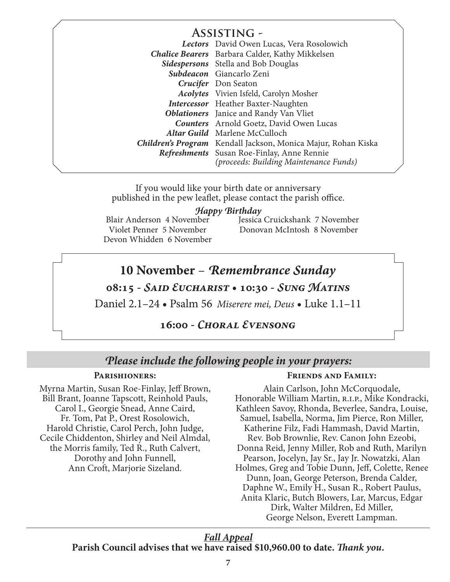## **Assisting -**

|                                                | Lectors David Owen Lucas, Vera Rosolowich                            |
|------------------------------------------------|----------------------------------------------------------------------|
|                                                | <b>Chalice Bearers</b> Barbara Calder, Kathy Mikkelsen               |
|                                                | <b>Sidespersons</b> Stella and Bob Douglas                           |
|                                                | Subdeacon Giancarlo Zeni                                             |
|                                                | <b>Crucifer</b> Don Seaton                                           |
|                                                | <b>Acolytes</b> Vivien Isfeld, Carolyn Mosher                        |
|                                                | <b>Intercessor</b> Heather Baxter-Naughten                           |
|                                                | <b>Oblationers</b> Janice and Randy Van Vliet                        |
| <b>Counters</b> Arnold Goetz, David Owen Lucas |                                                                      |
| Altar Guild Marlene McCulloch                  |                                                                      |
|                                                | <b>Children's Program</b> Kendall Jackson, Monica Majur, Rohan Kiska |
|                                                | Refreshments Susan Roe-Finlay, Anne Rennie                           |
|                                                | (proceeds: Building Maintenance Funds)                               |

If you would like your birth date or anniversary published in the pew leaflet, please contact the parish office.

#### *Happy Birthday*

Blair Anderson 4 November Violet Penner 5 November Devon Whidden 6 November Jessica Cruickshank 7 November Donovan McIntosh 8 November

## **10 November** – *Remembrance Sunday*

**08:15 -** *Said Eucharist* **• 10:30 -** *Sung Matins*

Daniel 2.1–24 • Psalm 56 *Miserere mei, Deus* • Luke 1.1–11

#### **16:00 -** *Choral Evensong*

#### *Please include the following people in your prayers:*

#### **Parishioners:**

Myrna Martin, Susan Roe-Finlay, Jeff Brown, Bill Brant, Joanne Tapscott, Reinhold Pauls, Carol I., Georgie Snead, Anne Caird, Fr. Tom, Pat P., Orest Rosolowich, Harold Christie, Carol Perch, John Judge, Cecile Chiddenton, Shirley and Neil Almdal, the Morris family, Ted R., Ruth Calvert, Dorothy and John Funnell, Ann Croft, Marjorie Sizeland.

#### **Friends and Family:**

Alain Carlson, John McCorquodale, Honorable William Martin, R.I.P., Mike Kondracki, Kathleen Savoy, Rhonda, Beverlee, Sandra, Louise, Samuel, Isabella, Norma, Jim Pierce, Ron Miller, Katherine Filz, Fadi Hammash, David Martin, Rev. Bob Brownlie, Rev. Canon John Ezeobi, Donna Reid, Jenny Miller, Rob and Ruth, Marilyn Pearson, Jocelyn, Jay Sr., Jay Jr. Nowatzki, Alan Holmes, Greg and Tobie Dunn, Jeff, Colette, Renee Dunn, Joan, George Peterson, Brenda Calder, Daphne W., Emily H., Susan R., Robert Paulus, Anita Klaric, Butch Blowers, Lar, Marcus, Edgar Dirk, Walter Mildren, Ed Miller, George Nelson, Everett Lampman.

#### *Fall Appeal* **Parish Council advises that we have raised \$10,960.00 to date.** *Thank you.*